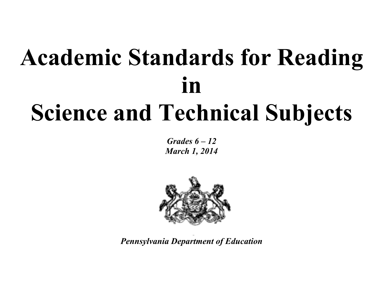# **Academic Standards for Reading in Science and Technical Subjects**

*Grades 6 – 12 March 1, 2014*



*Pennsylvania Department of Education*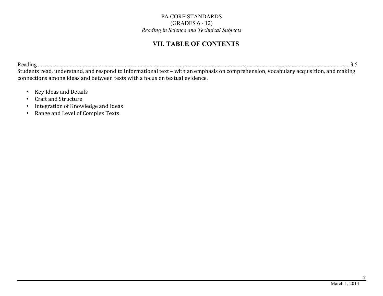## **VII. TABLE OF CONTENTS**

Reading ....................................................................................................................................................................................................................... 3.5 Students read, understand, and respond to informational text – with an emphasis on comprehension, vocabulary acquisition, and making connections among ideas and between texts with a focus on textual evidence.

- Key Ideas and Details
- Craft and Structure
- Integration of Knowledge and Ideas
- Range and Level of Complex Texts

2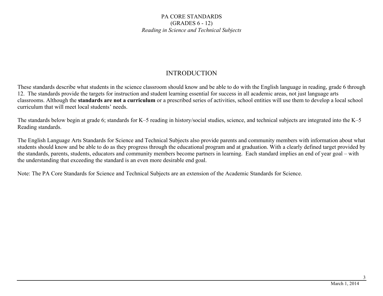### INTRODUCTION

These standards describe what students in the science classroom should know and be able to do with the English language in reading, grade 6 through 12. The standards provide the targets for instruction and student learning essential for success in all academic areas, not just language arts classrooms. Although the **standards are not a curriculum** or a prescribed series of activities, school entities will use them to develop a local school curriculum that will meet local students' needs.

The standards below begin at grade 6; standards for K–5 reading in history/social studies, science, and technical subjects are integrated into the K–5 Reading standards.

The English Language Arts Standards for Science and Technical Subjects also provide parents and community members with information about what students should know and be able to do as they progress through the educational program and at graduation. With a clearly defined target provided by the standards, parents, students, educators and community members become partners in learning. Each standard implies an end of year goal – with the understanding that exceeding the standard is an even more desirable end goal.

Note: The PA Core Standards for Science and Technical Subjects are an extension of the Academic Standards for Science.

3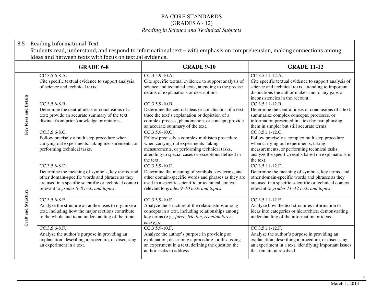| 3.5<br>Reading Informational Text<br>Students read, understand, and respond to informational text – with emphasis on comprehension, making connections among<br>ideas and between texts with focus on textual evidence. |                                                                                                                                                                                                                              |                                                                                                                                                                                                                                |                                                                                                                                                                                                                                  |  |
|-------------------------------------------------------------------------------------------------------------------------------------------------------------------------------------------------------------------------|------------------------------------------------------------------------------------------------------------------------------------------------------------------------------------------------------------------------------|--------------------------------------------------------------------------------------------------------------------------------------------------------------------------------------------------------------------------------|----------------------------------------------------------------------------------------------------------------------------------------------------------------------------------------------------------------------------------|--|
|                                                                                                                                                                                                                         | <b>GRADE 6-8</b>                                                                                                                                                                                                             | <b>GRADE 9-10</b>                                                                                                                                                                                                              | <b>GRADE 11-12</b>                                                                                                                                                                                                               |  |
| Key Ideas and Details                                                                                                                                                                                                   | CC.3.5.6-8.A.<br>Cite specific textual evidence to support analysis<br>of science and technical texts.                                                                                                                       | CC.3.5.9-10.A.<br>Cite specific textual evidence to support analysis of<br>science and technical texts, attending to the precise<br>details of explanations or descriptions.                                                   | $CC.3.5.11-12.A.$<br>Cite specific textual evidence to support analysis of<br>science and technical texts, attending to important<br>distinctions the author makes and to any gaps or<br>inconsistencies in the account.         |  |
|                                                                                                                                                                                                                         | $CC.3.5.6-8.B.$<br>Determine the central ideas or conclusions of a<br>text; provide an accurate summary of the text<br>distinct from prior knowledge or opinions.                                                            | $CC.3.5.9-10.B.$<br>Determine the central ideas or conclusions of a text;<br>trace the text's explanation or depiction of a<br>complex process, phenomenon, or concept; provide<br>an accurate summary of the text.            | CC.3.5.11-12.B.<br>Determine the central ideas or conclusions of a text;<br>summarize complex concepts, processes, or<br>information presented in a text by paraphrasing<br>them in simpler but still accurate terms.            |  |
|                                                                                                                                                                                                                         | $CC.3.5.6-8.C.$<br>Follow precisely a multistep procedure when<br>carrying out experiments, taking measurements, or<br>performing technical tasks.                                                                           | CC.3.5.9-10.C.<br>Follow precisely a complex multistep procedure<br>when carrying out experiments, taking<br>measurements, or performing technical tasks,<br>attending to special cases or exceptions defined in<br>the text.  | CC.3.5.11-12.C.<br>Follow precisely a complex multistep procedure<br>when carrying out experiments, taking<br>measurements, or performing technical tasks;<br>analyze the specific results based on explanations in<br>the text. |  |
| Craft and Structure                                                                                                                                                                                                     | $CC.3.5.6-8.D.$<br>Determine the meaning of symbols, key terms, and<br>other domain-specific words and phrases as they<br>are used in a specific scientific or technical context<br>relevant to grades 6-8 texts and topics. | $CC.3.5.9-10.D.$<br>Determine the meaning of symbols, key terms, and<br>other domain-specific words and phrases as they are<br>used in a specific scientific or technical context<br>relevant to grades 9-10 texts and topics. | $CC.3.5.11-12.D.$<br>Determine the meaning of symbols, key terms, and<br>other domain-specific words and phrases as they<br>are used in a specific scientific or technical context<br>relevant to grades 11-12 texts and topics. |  |
|                                                                                                                                                                                                                         | $CC.3.5.6-8.E.$<br>Analyze the structure an author uses to organize a<br>text, including how the major sections contribute<br>to the whole and to an understanding of the topic.                                             | CC.3.5.9-10.E.<br>Analyze the structure of the relationships among<br>concepts in a text, including relationships among<br>key terms (e.g., force, friction, reaction force,<br>energy).                                       | $CC.3.5.11-12.E.$<br>Analyze how the text structures information or<br>ideas into categories or hierarchies, demonstrating<br>understanding of the information or ideas.                                                         |  |
|                                                                                                                                                                                                                         | $CC.3.5.6-8.F.$<br>Analyze the author's purpose in providing an<br>explanation, describing a procedure, or discussing<br>an experiment in a text.                                                                            | $CC.3.5.9-10.F.$<br>Analyze the author's purpose in providing an<br>explanation, describing a procedure, or discussing<br>an experiment in a text, defining the question the<br>author seeks to address.                       | $CC.3.5.11-12.F.$<br>Analyze the author's purpose in providing an<br>explanation, describing a procedure, or discussing<br>an experiment in a text, identifying important issues<br>that remain unresolved.                      |  |

4